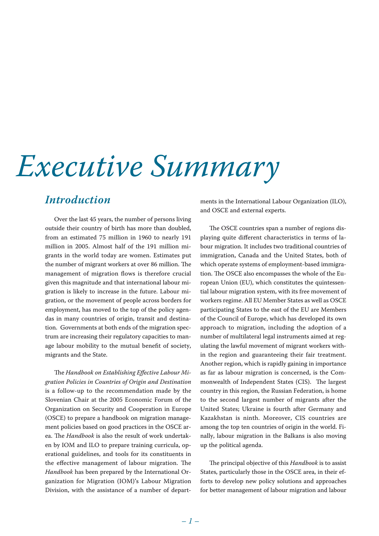### *Executive Summary*

#### *Introduction*

Over the last 45 years, the number of persons living outside their country of birth has more than doubled, from an estimated 75 million in 1960 to nearly 191 million in 2005. Almost half of the 191 million migrants in the world today are women. Estimates put the number of migrant workers at over 86 million. The management of migration flows is therefore crucial given this magnitude and that international labour migration is likely to increase in the future. Labour migration, or the movement of people across borders for employment, has moved to the top of the policy agendas in many countries of origin, transit and destination. Governments at both ends of the migration spectrum are increasing their regulatory capacities to manage labour mobility to the mutual benefit of society, migrants and the State.

The *Handbook on Establishing Effective Labour Migration Policies in Countries of Origin and Destination* is a follow-up to the recommendation made by the Slovenian Chair at the 2005 Economic Forum of the Organization on Security and Cooperation in Europe (OSCE) to prepare a handbook on migration management policies based on good practices in the OSCE area. The *Handbook* is also the result of work undertaken by IOM and ILO to prepare training curricula, operational guidelines, and tools for its constituents in the effective management of labour migration. The *Handbook* has been prepared by the International Organization for Migration (IOM)'s Labour Migration Division, with the assistance of a number of departments in the International Labour Organization (ILO), and OSCE and external experts.

The OSCE countries span a number of regions displaying quite different characteristics in terms of labour migration. It includes two traditional countries of immigration, Canada and the United States, both of which operate systems of employment-based immigration. The OSCE also encompasses the whole of the European Union (EU), which constitutes the quintessential labour migration system, with its free movement of workers regime. All EU Member States as well as OSCE participating States to the east of the EU are Members of the Council of Europe, which has developed its own approach to migration, including the adoption of a number of multilateral legal instruments aimed at regulating the lawful movement of migrant workers within the region and guaranteeing their fair treatment. Another region, which is rapidly gaining in importance as far as labour migration is concerned, is the Commonwealth of Independent States (CIS). The largest country in this region, the Russian Federation, is home to the second largest number of migrants after the United States; Ukraine is fourth after Germany and Kazakhstan is ninth. Moreover, CIS countries are among the top ten countries of origin in the world. Finally, labour migration in the Balkans is also moving up the political agenda.

The principal objective of this *Handbook* is to assist States, particularly those in the OSCE area, in their efforts to develop new policy solutions and approaches for better management of labour migration and labour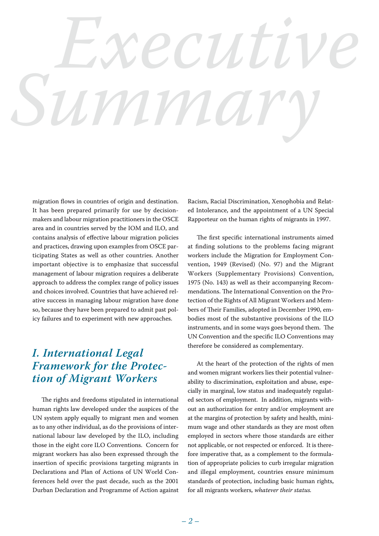# *Executive Summary*

migration flows in countries of origin and destination. It has been prepared primarily for use by decisionmakers and labour migration practitioners in the OSCE area and in countries served by the IOM and ILO, and contains analysis of effective labour migration policies and practices, drawing upon examples from OSCE participating States as well as other countries. Another important objective is to emphasize that successful management of labour migration requires a deliberate approach to address the complex range of policy issues and choices involved. Countries that have achieved relative success in managing labour migration have done so, because they have been prepared to admit past policy failures and to experiment with new approaches.

#### *I. International Legal Framework for the Protection of Migrant Workers*

The rights and freedoms stipulated in international human rights law developed under the auspices of the UN system apply equally to migrant men and women as to any other individual, as do the provisions of international labour law developed by the ILO, including those in the eight core ILO Conventions. Concern for migrant workers has also been expressed through the insertion of specific provisions targeting migrants in Declarations and Plan of Actions of UN World Conferences held over the past decade, such as the 2001 Durban Declaration and Programme of Action against Racism, Racial Discrimination, Xenophobia and Related Intolerance, and the appointment of a UN Special Rapporteur on the human rights of migrants in 1997.

The first specific international instruments aimed at finding solutions to the problems facing migrant workers include the Migration for Employment Convention, 1949 (Revised) (No. 97) and the Migrant Workers (Supplementary Provisions) Convention, 1975 (No. 143) as well as their accompanying Recommendations. The International Convention on the Protection of the Rights of All Migrant Workers and Members of Their Families, adopted in December 1990, embodies most of the substantive provisions of the ILO instruments, and in some ways goes beyond them. The UN Convention and the specific ILO Conventions may therefore be considered as complementary.

At the heart of the protection of the rights of men and women migrant workers lies their potential vulnerability to discrimination, exploitation and abuse, especially in marginal, low status and inadequately regulated sectors of employment. In addition, migrants without an authorization for entry and/or employment are at the margins of protection by safety and health, minimum wage and other standards as they are most often employed in sectors where those standards are either not applicable, or not respected or enforced. It is therefore imperative that, as a complement to the formulation of appropriate policies to curb irregular migration and illegal employment, countries ensure minimum standards of protection, including basic human rights, for all migrants workers, *whatever their status.*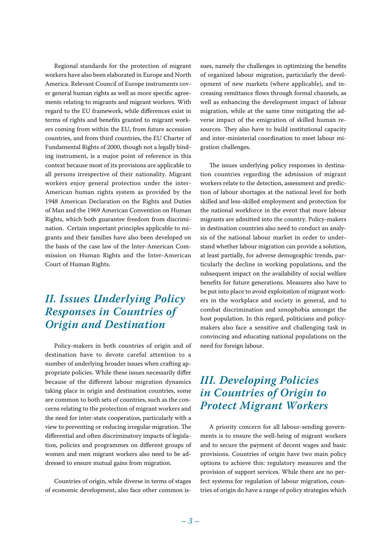Regional standards for the protection of migrant workers have also been elaborated in Europe and North America. Relevant Council of Europe instruments cover general human rights as well as more specific agreements relating to migrants and migrant workers. With regard to the EU framework, while differences exist in terms of rights and benefits granted to migrant workers coming from within the EU, from future accession countries, and from third countries, the EU Charter of Fundamental Rights of 2000, though not a legally binding instrument, is a major point of reference in this context because most of its provisions are applicable to all persons irrespective of their nationality. Migrant workers enjoy general protection under the inter-American human rights system as provided by the 1948 American Declaration on the Rights and Duties of Man and the 1969 American Convention on Human Rights, which both guarantee freedom from discrimination. Certain important principles applicable to migrants and their families have also been developed on the basis of the case law of the Inter-American Commission on Human Rights and the Inter-American Court of Human Rights.

#### *II. Issues Underlying Policy Responses in Countries of Origin and Destination*

Policy-makers in both countries of origin and of destination have to devote careful attention to a number of underlying broader issues when crafting appropriate policies. While these issues necessarily differ because of the different labour migration dynamics taking place in origin and destination countries, some are common to both sets of countries, such as the concerns relating to the protection of migrant workers and the need for inter-state cooperation, particularly with a view to preventing or reducing irregular migration. The differential and often discriminatory impacts of legislation, policies and programmes on different groups of women and men migrant workers also need to be addressed to ensure mutual gains from migration.

Countries of origin, while diverse in terms of stages of economic development, also face other common issues, namely the challenges in optimizing the benefits of organized labour migration, particularly the development of new markets (where applicable), and increasing remittance flows through formal channels, as well as enhancing the development impact of labour migration, while at the same time mitigating the adverse impact of the emigration of skilled human resources. They also have to build institutional capacity and inter-ministerial coordination to meet labour migration challenges.

The issues underlying policy responses in destination countries regarding the admission of migrant workers relate to the detection, assessment and prediction of labour shortages at the national level for both skilled and less-skilled employment and protection for the national workforce in the event that more labour migrants are admitted into the country. Policy-makers in destination countries also need to conduct an analysis of the national labour market in order to understand whether labour migration can provide a solution, at least partially, for adverse demographic trends, particularly the decline in working populations, and the subsequent impact on the availability of social welfare benefits for future generations. Measures also have to be put into place to avoid exploitation of migrant workers in the workplace and society in general, and to combat discrimination and xenophobia amongst the host population. In this regard, politicians and policymakers also face a sensitive and challenging task in convincing and educating national populations on the need for foreign labour.

#### *III. Developing Policies in Countries of Origin to Protect Migrant Workers*

A priority concern for all labour-sending governments is to ensure the well-being of migrant workers and to secure the payment of decent wages and basic provisions. Countries of origin have two main policy options to achieve this: regulatory measures and the provision of support services. While there are no perfect systems for regulation of labour migration, countries of origin do have a range of policy strategies which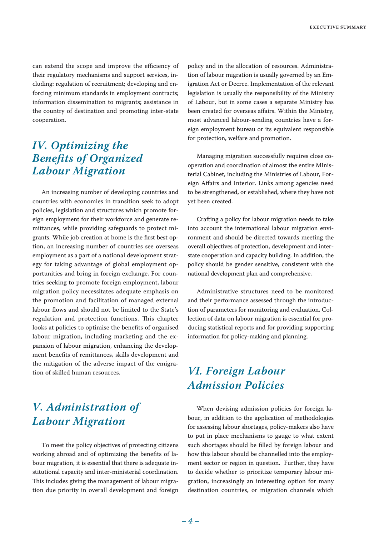can extend the scope and improve the efficiency of their regulatory mechanisms and support services, including: regulation of recruitment; developing and enforcing minimum standards in employment contracts; information dissemination to migrants; assistance in the country of destination and promoting inter-state cooperation.

#### *IV. Optimizing the Benefits of Organized Labour Migration*

An increasing number of developing countries and countries with economies in transition seek to adopt policies, legislation and structures which promote foreign employment for their workforce and generate remittances, while providing safeguards to protect migrants. While job creation at home is the first best option, an increasing number of countries see overseas employment as a part of a national development strategy for taking advantage of global employment opportunities and bring in foreign exchange. For countries seeking to promote foreign employment, labour migration policy necessitates adequate emphasis on the promotion and facilitation of managed external labour flows and should not be limited to the State's regulation and protection functions. This chapter looks at policies to optimise the benefits of organised labour migration, including marketing and the expansion of labour migration, enhancing the development benefits of remittances, skills development and the mitigation of the adverse impact of the emigration of skilled human resources.

#### *V. Administration of Labour Migration*

To meet the policy objectives of protecting citizens working abroad and of optimizing the benefits of labour migration, it is essential that there is adequate institutional capacity and inter-ministerial coordination. This includes giving the management of labour migration due priority in overall development and foreign

policy and in the allocation of resources. Administration of labour migration is usually governed by an Emigration Act or Decree. Implementation of the relevant legislation is usually the responsibility of the Ministry of Labour, but in some cases a separate Ministry has been created for overseas affairs. Within the Ministry, most advanced labour-sending countries have a foreign employment bureau or its equivalent responsible for protection, welfare and promotion.

Managing migration successfully requires close cooperation and coordination of almost the entire Ministerial Cabinet, including the Ministries of Labour, Foreign Affairs and Interior. Links among agencies need to be strengthened, or established, where they have not yet been created.

Crafting a policy for labour migration needs to take into account the international labour migration environment and should be directed towards meeting the overall objectives of protection, development and interstate cooperation and capacity building. In addition, the policy should be gender sensitive, consistent with the national development plan and comprehensive.

Administrative structures need to be monitored and their performance assessed through the introduction of parameters for monitoring and evaluation. Collection of data on labour migration is essential for producing statistical reports and for providing supporting information for policy-making and planning.

#### *VI. Foreign Labour Admission Policies*

When devising admission policies for foreign labour, in addition to the application of methodologies for assessing labour shortages, policy-makers also have to put in place mechanisms to gauge to what extent such shortages should be filled by foreign labour and how this labour should be channelled into the employment sector or region in question. Further, they have to decide whether to prioritize temporary labour migration, increasingly an interesting option for many destination countries, or migration channels which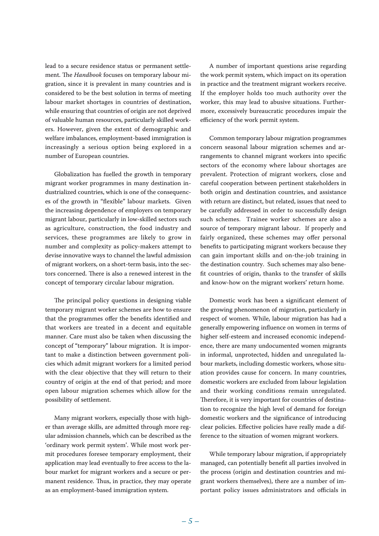lead to a secure residence status or permanent settlement. The *Handbook* focuses on temporary labour migration, since it is prevalent in many countries and is considered to be the best solution in terms of meeting labour market shortages in countries of destination, while ensuring that countries of origin are not deprived of valuable human resources, particularly skilled workers. However, given the extent of demographic and welfare imbalances, employment-based immigration is increasingly a serious option being explored in a number of European countries.

Globalization has fuelled the growth in temporary migrant worker programmes in many destination industrialized countries, which is one of the consequences of the growth in "flexible" labour markets. Given the increasing dependence of employers on temporary migrant labour, particularly in low-skilled sectors such as agriculture, construction, the food industry and services, these programmes are likely to grow in number and complexity as policy-makers attempt to devise innovative ways to channel the lawful admission of migrant workers, on a short-term basis, into the sectors concerned. There is also a renewed interest in the concept of temporary circular labour migration.

The principal policy questions in designing viable temporary migrant worker schemes are how to ensure that the programmes offer the benefits identified and that workers are treated in a decent and equitable manner. Care must also be taken when discussing the concept of "temporary" labour migration. It is important to make a distinction between government policies which admit migrant workers for a limited period with the clear objective that they will return to their country of origin at the end of that period; and more open labour migration schemes which allow for the possibility of settlement.

Many migrant workers, especially those with higher than average skills, are admitted through more regular admission channels, which can be described as the 'ordinary work permit system'. While most work permit procedures foresee temporary employment, their application may lead eventually to free access to the labour market for migrant workers and a secure or permanent residence. Thus, in practice, they may operate as an employment-based immigration system.

A number of important questions arise regarding the work permit system, which impact on its operation in practice and the treatment migrant workers receive. If the employer holds too much authority over the worker, this may lead to abusive situations. Furthermore, excessively bureaucratic procedures impair the efficiency of the work permit system.

Common temporary labour migration programmes concern seasonal labour migration schemes and arrangements to channel migrant workers into specific sectors of the economy where labour shortages are prevalent. Protection of migrant workers, close and careful cooperation between pertinent stakeholders in both origin and destination countries, and assistance with return are distinct, but related, issues that need to be carefully addressed in order to successfully design such schemes. Trainee worker schemes are also a source of temporary migrant labour. If properly and fairly organized, these schemes may offer personal benefits to participating migrant workers because they can gain important skills and on-the-job training in the destination country. Such schemes may also benefit countries of origin, thanks to the transfer of skills and know-how on the migrant workers' return home.

Domestic work has been a significant element of the growing phenomenon of migration, particularly in respect of women. While, labour migration has had a generally empowering influence on women in terms of higher self-esteem and increased economic independence, there are many undocumented women migrants in informal, unprotected, hidden and unregulated labour markets, including domestic workers, whose situation provides cause for concern. In many countries, domestic workers are excluded from labour legislation and their working conditions remain unregulated. Therefore, it is very important for countries of destination to recognize the high level of demand for foreign domestic workers and the significance of introducing clear policies. Effective policies have really made a difference to the situation of women migrant workers.

While temporary labour migration, if appropriately managed, can potentially benefit all parties involved in the process (origin and destination countries and migrant workers themselves), there are a number of important policy issues administrators and officials in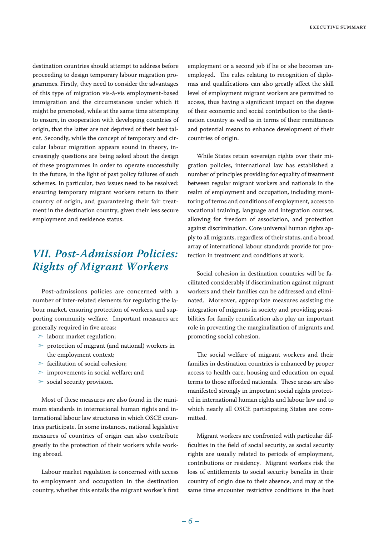destination countries should attempt to address before proceeding to design temporary labour migration programmes. Firstly, they need to consider the advantages of this type of migration vis-à-vis employment-based immigration and the circumstances under which it might be promoted, while at the same time attempting to ensure, in cooperation with developing countries of origin, that the latter are not deprived of their best talent. Secondly, while the concept of temporary and circular labour migration appears sound in theory, increasingly questions are being asked about the design of these programmes in order to operate successfully in the future, in the light of past policy failures of such schemes. In particular, two issues need to be resolved: ensuring temporary migrant workers return to their country of origin, and guaranteeing their fair treatment in the destination country, given their less secure employment and residence status.

#### *VII. Post-Admission Policies: Rights of Migrant Workers*

Post-admissions policies are concerned with a number of inter-related elements for regulating the labour market, ensuring protection of workers, and supporting community welfare. Important measures are generally required in five areas:

- $\geq$  labour market regulation;
- $\triangleright$  protection of migrant (and national) workers in the employment context;
- $\triangleright$  facilitation of social cohesion;
- ➣ improvements in social welfare; and
- $\ge$  social security provision.

Most of these measures are also found in the minimum standards in international human rights and international labour law structures in which OSCE countries participate. In some instances, national legislative measures of countries of origin can also contribute greatly to the protection of their workers while working abroad.

Labour market regulation is concerned with access to employment and occupation in the destination country, whether this entails the migrant worker's first

employment or a second job if he or she becomes unemployed. The rules relating to recognition of diplomas and qualifications can also greatly affect the skill level of employment migrant workers are permitted to access, thus having a significant impact on the degree of their economic and social contribution to the destination country as well as in terms of their remittances and potential means to enhance development of their countries of origin.

While States retain sovereign rights over their migration policies, international law has established a number of principles providing for equality of treatment between regular migrant workers and nationals in the realm of employment and occupation, including monitoring of terms and conditions of employment, access to vocational training, language and integration courses, allowing for freedom of association, and protection against discrimination. Core universal human rights apply to all migrants, regardless of their status, and a broad array of international labour standards provide for protection in treatment and conditions at work.

Social cohesion in destination countries will be facilitated considerably if discrimination against migrant workers and their families can be addressed and eliminated. Moreover, appropriate measures assisting the integration of migrants in society and providing possibilities for family reunification also play an important role in preventing the marginalization of migrants and promoting social cohesion.

The social welfare of migrant workers and their families in destination countries is enhanced by proper access to health care, housing and education on equal terms to those afforded nationals. These areas are also manifested strongly in important social rights protected in international human rights and labour law and to which nearly all OSCE participating States are committed.

Migrant workers are confronted with particular difficulties in the field of social security, as social security rights are usually related to periods of employment, contributions or residency. Migrant workers risk the loss of entitlements to social security benefits in their country of origin due to their absence, and may at the same time encounter restrictive conditions in the host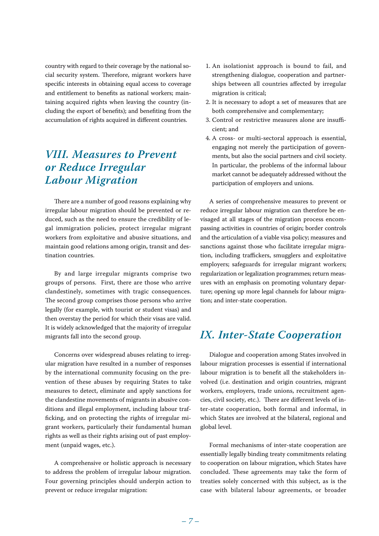country with regard to their coverage by the national social security system. Therefore, migrant workers have specific interests in obtaining equal access to coverage and entitlement to benefits as national workers; maintaining acquired rights when leaving the country (including the export of benefits); and benefiting from the accumulation of rights acquired in different countries.

#### *VIII. Measures to Prevent or Reduce Irregular Labour Migration*

There are a number of good reasons explaining why irregular labour migration should be prevented or reduced, such as the need to ensure the credibility of legal immigration policies, protect irregular migrant workers from exploitative and abusive situations, and maintain good relations among origin, transit and destination countries.

By and large irregular migrants comprise two groups of persons. First, there are those who arrive clandestinely, sometimes with tragic consequences. The second group comprises those persons who arrive legally (for example, with tourist or student visas) and then overstay the period for which their visas are valid. It is widely acknowledged that the majority of irregular migrants fall into the second group.

Concerns over widespread abuses relating to irregular migration have resulted in a number of responses by the international community focusing on the prevention of these abuses by requiring States to take measures to detect, eliminate and apply sanctions for the clandestine movements of migrants in abusive conditions and illegal employment, including labour trafficking, and on protecting the rights of irregular migrant workers, particularly their fundamental human rights as well as their rights arising out of past employment (unpaid wages, etc.).

A comprehensive or holistic approach is necessary to address the problem of irregular labour migration. Four governing principles should underpin action to prevent or reduce irregular migration:

- 1. An isolationist approach is bound to fail, and strengthening dialogue, cooperation and partnerships between all countries affected by irregular migration is critical;
- 2. It is necessary to adopt a set of measures that are both comprehensive and complementary;
- 3. Control or restrictive measures alone are insufficient; and
- 4. A cross- or multi-sectoral approach is essential, engaging not merely the participation of governments, but also the social partners and civil society. In particular, the problems of the informal labour market cannot be adequately addressed without the participation of employers and unions.

A series of comprehensive measures to prevent or reduce irregular labour migration can therefore be envisaged at all stages of the migration process encompassing activities in countries of origin; border controls and the articulation of a viable visa policy; measures and sanctions against those who facilitate irregular migration, including traffickers, smugglers and exploitative employers; safeguards for irregular migrant workers; regularization or legalization programmes; return measures with an emphasis on promoting voluntary departure; opening up more legal channels for labour migration; and inter-state cooperation.

#### *IX. Inter-State Cooperation*

Dialogue and cooperation among States involved in labour migration processes is essential if international labour migration is to benefit all the stakeholders involved (i.e. destination and origin countries, migrant workers, employers, trade unions, recruitment agencies, civil society, etc.). There are different levels of inter-state cooperation, both formal and informal, in which States are involved at the bilateral, regional and global level.

Formal mechanisms of inter-state cooperation are essentially legally binding treaty commitments relating to cooperation on labour migration, which States have concluded. These agreements may take the form of treaties solely concerned with this subject, as is the case with bilateral labour agreements, or broader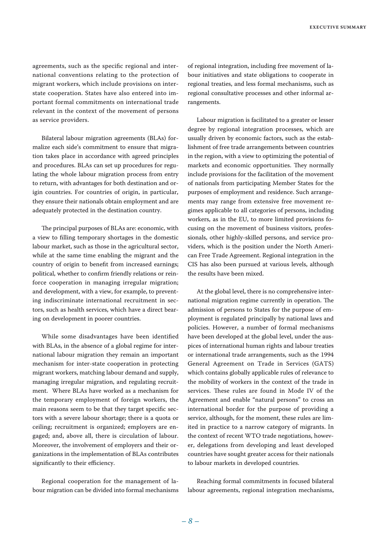agreements, such as the specific regional and international conventions relating to the protection of migrant workers, which include provisions on interstate cooperation. States have also entered into important formal commitments on international trade relevant in the context of the movement of persons as service providers.

Bilateral labour migration agreements (BLAs) formalize each side's commitment to ensure that migration takes place in accordance with agreed principles and procedures. BLAs can set up procedures for regulating the whole labour migration process from entry to return, with advantages for both destination and origin countries. For countries of origin, in particular, they ensure their nationals obtain employment and are adequately protected in the destination country.

The principal purposes of BLAs are: economic, with a view to filling temporary shortages in the domestic labour market, such as those in the agricultural sector, while at the same time enabling the migrant and the country of origin to benefit from increased earnings; political, whether to confirm friendly relations or reinforce cooperation in managing irregular migration; and development, with a view, for example, to preventing indiscriminate international recruitment in sectors, such as health services, which have a direct bearing on development in poorer countries.

While some disadvantages have been identified with BLAs, in the absence of a global regime for international labour migration they remain an important mechanism for inter-state cooperation in protecting migrant workers, matching labour demand and supply, managing irregular migration, and regulating recruitment. Where BLAs have worked as a mechanism for the temporary employment of foreign workers, the main reasons seem to be that they target specific sectors with a severe labour shortage; there is a quota or ceiling; recruitment is organized; employers are engaged; and, above all, there is circulation of labour. Moreover, the involvement of employers and their organizations in the implementation of BLAs contributes significantly to their efficiency.

Regional cooperation for the management of labour migration can be divided into formal mechanisms

of regional integration, including free movement of labour initiatives and state obligations to cooperate in regional treaties, and less formal mechanisms, such as regional consultative processes and other informal arrangements.

Labour migration is facilitated to a greater or lesser degree by regional integration processes, which are usually driven by economic factors, such as the establishment of free trade arrangements between countries in the region, with a view to optimizing the potential of markets and economic opportunities. They normally include provisions for the facilitation of the movement of nationals from participating Member States for the purposes of employment and residence. Such arrangements may range from extensive free movement regimes applicable to all categories of persons, including workers, as in the EU, to more limited provisions focusing on the movement of business visitors, professionals, other highly-skilled persons, and service providers, which is the position under the North American Free Trade Agreement. Regional integration in the CIS has also been pursued at various levels, although the results have been mixed.

At the global level, there is no comprehensive international migration regime currently in operation. The admission of persons to States for the purpose of employment is regulated principally by national laws and policies. However, a number of formal mechanisms have been developed at the global level, under the auspices of international human rights and labour treaties or international trade arrangements, such as the 1994 General Agreement on Trade in Services (GATS) which contains globally applicable rules of relevance to the mobility of workers in the context of the trade in services. These rules are found in Mode IV of the Agreement and enable "natural persons" to cross an international border for the purpose of providing a service, although, for the moment, these rules are limited in practice to a narrow category of migrants. In the context of recent WTO trade negotiations, however, delegations from developing and least developed countries have sought greater access for their nationals to labour markets in developed countries.

Reaching formal commitments in focused bilateral labour agreements, regional integration mechanisms,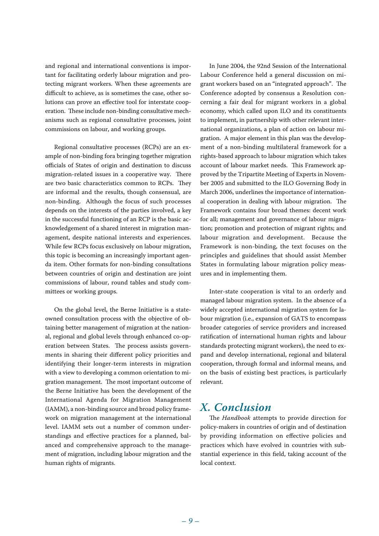and regional and international conventions is important for facilitating orderly labour migration and protecting migrant workers. When these agreements are difficult to achieve, as is sometimes the case, other solutions can prove an effective tool for interstate cooperation. These include non-binding consultative mechanisms such as regional consultative processes, joint commissions on labour, and working groups.

Regional consultative processes (RCPs) are an example of non-binding fora bringing together migration officials of States of origin and destination to discuss migration-related issues in a cooperative way. There are two basic characteristics common to RCPs. They are informal and the results, though consensual, are non-binding. Although the focus of such processes depends on the interests of the parties involved, a key in the successful functioning of an RCP is the basic acknowledgement of a shared interest in migration management, despite national interests and experiences. While few RCPs focus exclusively on labour migration, this topic is becoming an increasingly important agenda item. Other formats for non-binding consultations between countries of origin and destination are joint commissions of labour, round tables and study committees or working groups.

On the global level, the Berne Initiative is a stateowned consultation process with the objective of obtaining better management of migration at the national, regional and global levels through enhanced co-operation between States. The process assists governments in sharing their different policy priorities and identifying their longer-term interests in migration with a view to developing a common orientation to migration management. The most important outcome of the Berne Initiative has been the development of the International Agenda for Migration Management (IAMM), a non-binding source and broad policy framework on migration management at the international level. IAMM sets out a number of common understandings and effective practices for a planned, balanced and comprehensive approach to the management of migration, including labour migration and the human rights of migrants.

In June 2004, the 92nd Session of the International Labour Conference held a general discussion on migrant workers based on an "integrated approach". The Conference adopted by consensus a Resolution concerning a fair deal for migrant workers in a global economy, which called upon ILO and its constituents to implement, in partnership with other relevant international organizations, a plan of action on labour migration. A major element in this plan was the development of a non-binding multilateral framework for a rights-based approach to labour migration which takes account of labour market needs. This Framework approved by the Tripartite Meeting of Experts in November 2005 and submitted to the ILO Governing Body in March 2006, underlines the importance of international cooperation in dealing with labour migration. The Framework contains four broad themes: decent work for all; management and governance of labour migration; promotion and protection of migrant rights; and labour migration and development. Because the Framework is non-binding, the text focuses on the principles and guidelines that should assist Member States in formulating labour migration policy measures and in implementing them.

Inter-state cooperation is vital to an orderly and managed labour migration system. In the absence of a widely accepted international migration system for labour migration (i.e., expansion of GATS to encompass broader categories of service providers and increased ratification of international human rights and labour standards protecting migrant workers), the need to expand and develop international, regional and bilateral cooperation, through formal and informal means, and on the basis of existing best practices, is particularly relevant.

#### *X. Conclusion*

The *Handbook* attempts to provide direction for policy-makers in countries of origin and of destination by providing information on effective policies and practices which have evolved in countries with substantial experience in this field, taking account of the local context.

 *– – – 10 –*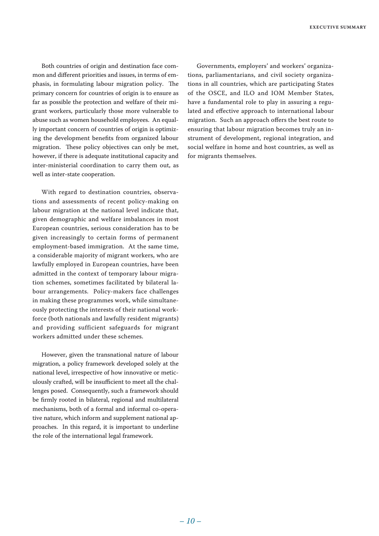Both countries of origin and destination face common and different priorities and issues, in terms of emphasis, in formulating labour migration policy. The primary concern for countries of origin is to ensure as far as possible the protection and welfare of their migrant workers, particularly those more vulnerable to abuse such as women household employees. An equally important concern of countries of origin is optimizing the development benefits from organized labour migration. These policy objectives can only be met, however, if there is adequate institutional capacity and inter-ministerial coordination to carry them out, as well as inter-state cooperation.

With regard to destination countries, observations and assessments of recent policy-making on labour migration at the national level indicate that, given demographic and welfare imbalances in most European countries, serious consideration has to be given increasingly to certain forms of permanent employment-based immigration. At the same time, a considerable majority of migrant workers, who are lawfully employed in European countries, have been admitted in the context of temporary labour migration schemes, sometimes facilitated by bilateral labour arrangements. Policy-makers face challenges in making these programmes work, while simultaneously protecting the interests of their national workforce (both nationals and lawfully resident migrants) and providing sufficient safeguards for migrant workers admitted under these schemes.

However, given the transnational nature of labour migration, a policy framework developed solely at the national level, irrespective of how innovative or meticulously crafted, will be insufficient to meet all the challenges posed. Consequently, such a framework should be firmly rooted in bilateral, regional and multilateral mechanisms, both of a formal and informal co-operative nature, which inform and supplement national approaches. In this regard, it is important to underline the role of the international legal framework.

Governments, employers' and workers' organizations, parliamentarians, and civil society organizations in all countries, which are participating States of the OSCE, and ILO and IOM Member States, have a fundamental role to play in assuring a regulated and effective approach to international labour migration. Such an approach offers the best route to ensuring that labour migration becomes truly an instrument of development, regional integration, and social welfare in home and host countries, as well as for migrants themselves.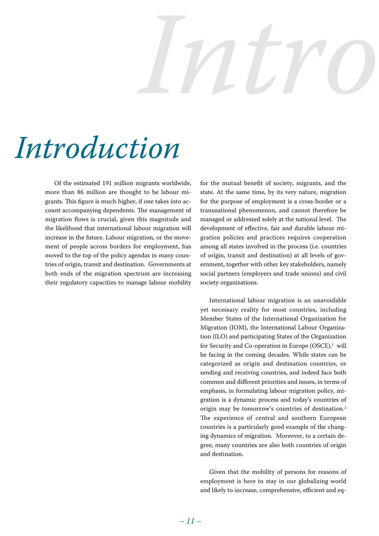## *Introduction Introduction*

Of the estimated 191 million migrants worldwide, more than 86 million are thought to be labour migrants. This figure is much higher, if one takes into account accompanying dependents. The management of migration flows is crucial, given this magnitude and the likelihood that international labour migration will increase in the future. Labour migration, or the movement of people across borders for employment, has moved to the top of the policy agendas in many countries of origin, transit and destination. Governments at both ends of the migration spectrum are increasing their regulatory capacities to manage labour mobility for the mutual benefit of society, migrants, and the state. At the same time, by its very nature, migration for the purpose of employment is a cross-border or a transnational phenomenon, and cannot therefore be managed or addressed solely at the national level. The development of effective, fair and durable labour migration policies and practices requires cooperation among all states involved in the process (i.e. countries of origin, transit and destination) at all levels of government, together with other key stakeholders, namely social partners (employers and trade unions) and civil society organizations.

International labour migration is an unavoidable yet necessary reality for most countries, including Member States of the International Organization for Migration (IOM), the International Labour Organization (ILO) and participating States of the Organization for Security and Co-operation in Europe  $(OSCE)$ ,<sup>1</sup> will be facing in the coming decades. While states can be categorized as origin and destination countries, or sending and receiving countries, and indeed face both common and different priorities and issues, in terms of emphasis, in formulating labour migration policy, migration is a dynamic process and today's countries of origin may be tomorrow's countries of destination.<sup>2</sup> The experience of central and southern European countries is a particularly good example of the changing dynamics of migration. Moreover, to a certain degree, many countries are also both countries of origin and destination.

Given that the mobility of persons for reasons of employment is here to stay in our globalizing world and likely to increase, comprehensive, efficient and eq-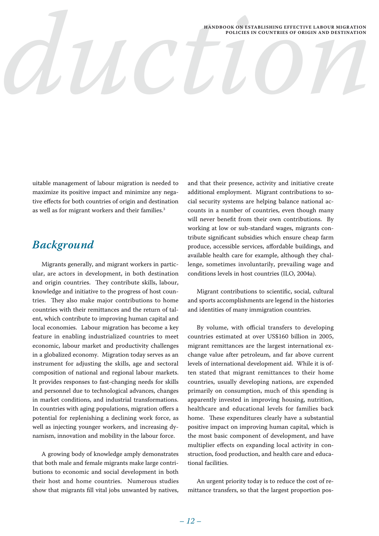## **INTERNATION POLICIES IN COUNTRIES OF ORIGIN AND DESTINATION POLICIES IN COUNTRIES OF ORIGIN AND DESTINATION**

uitable management of labour migration is needed to maximize its positive impact and minimize any negative effects for both countries of origin and destination as well as for migrant workers and their families.<sup>3</sup>

#### *Background*

Migrants generally, and migrant workers in particular, are actors in development, in both destination and origin countries. They contribute skills, labour, knowledge and initiative to the progress of host countries. They also make major contributions to home countries with their remittances and the return of talent, which contribute to improving human capital and local economies. Labour migration has become a key feature in enabling industrialized countries to meet economic, labour market and productivity challenges in a globalized economy. Migration today serves as an instrument for adjusting the skills, age and sectoral composition of national and regional labour markets. It provides responses to fast-changing needs for skills and personnel due to technological advances, changes in market conditions, and industrial transformations. In countries with aging populations, migration offers a potential for replenishing a declining work force, as well as injecting younger workers, and increasing dynamism, innovation and mobility in the labour force.

A growing body of knowledge amply demonstrates that both male and female migrants make large contributions to economic and social development in both their host and home countries. Numerous studies show that migrants fill vital jobs unwanted by natives,

and that their presence, activity and initiative create additional employment. Migrant contributions to social security systems are helping balance national accounts in a number of countries, even though many will never benefit from their own contributions. By working at low or sub-standard wages, migrants contribute significant subsidies which ensure cheap farm produce, accessible services, affordable buildings, and available health care for example, although they challenge, sometimes involuntarily, prevailing wage and conditions levels in host countries (ILO, 2004a).

Migrant contributions to scientific, social, cultural and sports accomplishments are legend in the histories and identities of many immigration countries.

By volume, with official transfers to developing countries estimated at over US\$160 billion in 2005, migrant remittances are the largest international exchange value after petroleum, and far above current levels of international development aid. While it is often stated that migrant remittances to their home countries, usually developing nations, are expended primarily on consumption, much of this spending is apparently invested in improving housing, nutrition, healthcare and educational levels for families back home. These expenditures clearly have a substantial positive impact on improving human capital, which is the most basic component of development, and have multiplier effects on expanding local activity in construction, food production, and health care and educational facilities.

An urgent priority today is to reduce the cost of remittance transfers, so that the largest proportion pos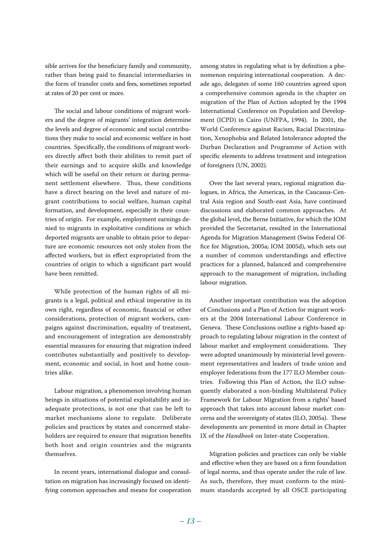sible arrives for the beneficiary family and community, rather than being paid to financial intermediaries in the form of transfer costs and fees, sometimes reported at rates of 20 per cent or more.

The social and labour conditions of migrant workers and the degree of migrants' integration determine the levels and degree of economic and social contributions they make to social and economic welfare in host countries. Specifically, the conditions of migrant workers directly affect both their abilities to remit part of their earnings and to acquire skills and knowledge which will be useful on their return or during permanent settlement elsewhere. Thus, these conditions have a direct bearing on the level and nature of migrant contributions to social welfare, human capital formation, and development, especially in their countries of origin. For example, employment earnings denied to migrants in exploitative conditions or which deported migrants are unable to obtain prior to departure are economic resources not only stolen from the affected workers, but in effect expropriated from the countries of origin to which a significant part would have been remitted.

While protection of the human rights of all migrants is a legal, political and ethical imperative in its own right, regardless of economic, financial or other considerations, protection of migrant workers, campaigns against discrimination, equality of treatment, and encouragement of integration are demonstrably essential measures for ensuring that migration indeed contributes substantially and positively to development, economic and social, in host and home countries alike.

Labour migration, a phenomenon involving human beings in situations of potential exploitability and inadequate protections, is not one that can be left to market mechanisms alone to regulate. Deliberate policies and practices by states and concerned stakeholders are required to ensure that migration benefits both host and origin countries and the migrants themselves.

In recent years, international dialogue and consultation on migration has increasingly focused on identifying common approaches and means for cooperation among states in regulating what is by definition a phenomenon requiring international cooperation. A decade ago, delegates of some 160 countries agreed upon a comprehensive common agenda in the chapter on migration of the Plan of Action adopted by the 1994 International Conference on Population and Development (ICPD) in Cairo (UNFPA, 1994). In 2001, the World Conference against Racism, Racial Discrimination, Xenophobia and Related Intolerance adopted the Durban Declaration and Programme of Action with specific elements to address treatment and integration of foreigners (UN, 2002).

Over the last several years, regional migration dialogues, in Africa, the Americas, in the Caucasus-Central Asia region and South-east Asia, have continued discussions and elaborated common approaches. At the global level, the Berne Initiative, for which the IOM provided the Secretariat, resulted in the International Agenda for Migration Management (Swiss Federal Office for Migration, 2005a; IOM 2005d), which sets out a number of common understandings and effective practices for a planned, balanced and comprehensive approach to the management of migration, including labour migration.

Another important contribution was the adoption of Conclusions and a Plan of Action for migrant workers at the 2004 International Labour Conference in Geneva. These Conclusions outline a rights-based approach to regulating labour migration in the context of labour market and employment considerations. They were adopted unanimously by ministerial level government representatives and leaders of trade union and employer federations from the 177 ILO Member countries. Following this Plan of Action, the ILO subsequently elaborated a non-binding Multilateral Policy Framework for Labour Migration from a rights' based approach that takes into account labour market concerns and the sovereignty of states (ILO, 2005a). These developments are presented in more detail in Chapter IX of the *Handbook* on Inter-state Cooperation.

Migration policies and practices can only be viable and effective when they are based on a firm foundation of legal norms, and thus operate under the rule of law. As such, therefore, they must conform to the minimum standards accepted by all OSCE participating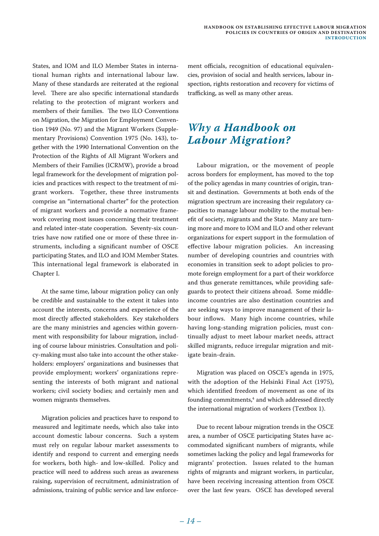States, and IOM and ILO Member States in international human rights and international labour law. Many of these standards are reiterated at the regional level. There are also specific international standards relating to the protection of migrant workers and members of their families. The two ILO Conventions on Migration, the Migration for Employment Convention 1949 (No. 97) and the Migrant Workers (Supplementary Provisions) Convention 1975 (No. 143), together with the 1990 International Convention on the Protection of the Rights of All Migrant Workers and Members of their Families (ICRMW), provide a broad legal framework for the development of migration policies and practices with respect to the treatment of migrant workers. Together, these three instruments comprise an "international charter" for the protection of migrant workers and provide a normative framework covering most issues concerning their treatment and related inter-state cooperation. Seventy-six countries have now ratified one or more of these three instruments, including a significant number of OSCE participating States, and ILO and IOM Member States. This international legal framework is elaborated in Chapter I.

At the same time, labour migration policy can only be credible and sustainable to the extent it takes into account the interests, concerns and experience of the most directly affected stakeholders. Key stakeholders are the many ministries and agencies within government with responsibility for labour migration, including of course labour ministries. Consultation and policy-making must also take into account the other stakeholders: employers' organizations and businesses that provide employment; workers' organizations representing the interests of both migrant and national workers; civil society bodies; and certainly men and women migrants themselves.

Migration policies and practices have to respond to measured and legitimate needs, which also take into account domestic labour concerns. Such a system must rely on regular labour market assessments to identify and respond to current and emerging needs for workers, both high- and low-skilled. Policy and practice will need to address such areas as awareness raising, supervision of recruitment, administration of admissions, training of public service and law enforcement officials, recognition of educational equivalencies, provision of social and health services, labour inspection, rights restoration and recovery for victims of trafficking, as well as many other areas.

#### *Why a Handbook on Labour Migration?*

Labour migration, or the movement of people across borders for employment, has moved to the top of the policy agendas in many countries of origin, transit and destination. Governments at both ends of the migration spectrum are increasing their regulatory capacities to manage labour mobility to the mutual benefit of society, migrants and the State. Many are turning more and more to IOM and ILO and other relevant organizations for expert support in the formulation of effective labour migration policies. An increasing number of developing countries and countries with economies in transition seek to adopt policies to promote foreign employment for a part of their workforce and thus generate remittances, while providing safeguards to protect their citizens abroad. Some middleincome countries are also destination countries and are seeking ways to improve management of their labour inflows. Many high income countries, while having long-standing migration policies, must continually adjust to meet labour market needs, attract skilled migrants, reduce irregular migration and mitigate brain-drain.

Migration was placed on OSCE's agenda in 1975, with the adoption of the Helsinki Final Act (1975), which identified freedom of movement as one of its founding commitments,<sup>4</sup> and which addressed directly the international migration of workers (Textbox 1).

Due to recent labour migration trends in the OSCE area, a number of OSCE participating States have accommodated significant numbers of migrants, while sometimes lacking the policy and legal frameworks for migrants' protection. Issues related to the human rights of migrants and migrant workers, in particular, have been receiving increasing attention from OSCE over the last few years. OSCE has developed several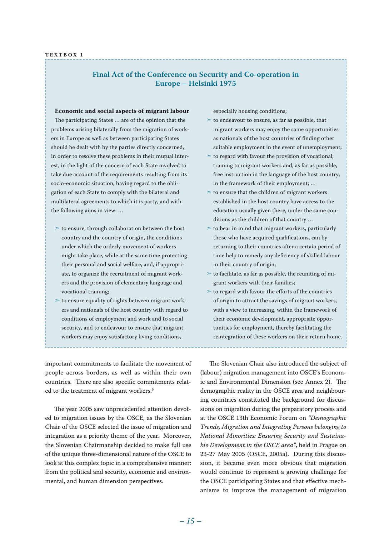#### **Final Act of the Conference on Security and Co-operation in Europe – Helsinki 1975**

#### **Economic and social aspects of migrant labour**

The participating States … are of the opinion that the problems arising bilaterally from the migration of workers in Europe as well as between participating States should be dealt with by the parties directly concerned, in order to resolve these problems in their mutual interest, in the light of the concern of each State involved to take due account of the requirements resulting from its socio-economic situation, having regard to the obligation of each State to comply with the bilateral and multilateral agreements to which it is party, and with the following aims in view: …

- $\geq$  to ensure, through collaboration between the host country and the country of origin, the conditions under which the orderly movement of workers might take place, while at the same time protecting their personal and social welfare, and, if appropriate, to organize the recruitment of migrant workers and the provision of elementary language and vocational training;
- ➣ to ensure equality of rights between migrant workers and nationals of the host country with regard to conditions of employment and work and to social security, and to endeavour to ensure that migrant workers may enjoy satisfactory living conditions,

important commitments to facilitate the movement of people across borders, as well as within their own countries. There are also specific commitments related to the treatment of migrant workers.<sup>5</sup>

The year 2005 saw unprecedented attention devoted to migration issues by the OSCE, as the Slovenian Chair of the OSCE selected the issue of migration and integration as a priority theme of the year. Moreover, the Slovenian Chairmanship decided to make full use of the unique three-dimensional nature of the OSCE to look at this complex topic in a comprehensive manner: from the political and security, economic and environmental, and human dimension perspectives.

especially housing conditions;

- ➣ to endeavour to ensure, as far as possible, that migrant workers may enjoy the same opportunities as nationals of the host countries of finding other suitable employment in the event of unemployment;
- ➣ to regard with favour the provision of vocational; training to migrant workers and, as far as possible, free instruction in the language of the host country, in the framework of their employment; …
- $\geq$  to ensure that the children of migrant workers established in the host country have access to the education usually given there, under the same conditions as the children of that country …
- $\geq$  to bear in mind that migrant workers, particularly those who have acquired qualifications, can by returning to their countries after a certain period of time help to remedy any deficiency of skilled labour in their country of origin;
- $\geq$  to facilitate, as far as possible, the reuniting of migrant workers with their families;
- $\geq$  to regard with favour the efforts of the countries of origin to attract the savings of migrant workers, with a view to increasing, within the framework of their economic development, appropriate opportunities for employment, thereby facilitating the reintegration of these workers on their return home.

The Slovenian Chair also introduced the subject of (labour) migration management into OSCE's Economic and Environmental Dimension (see Annex 2). The demographic reality in the OSCE area and neighbouring countries constituted the background for discussions on migration during the preparatory process and at the OSCE 13th Economic Forum on *"Demographic Trends, Migration and Integrating Persons belonging to National Minorities: Ensuring Security and Sustainable Development in the OSCE area"*, held in Prague on 23-27 May 2005 (OSCE, 2005a). During this discussion, it became even more obvious that migration would continue to represent a growing challenge for the OSCE participating States and that effective mechanisms to improve the management of migration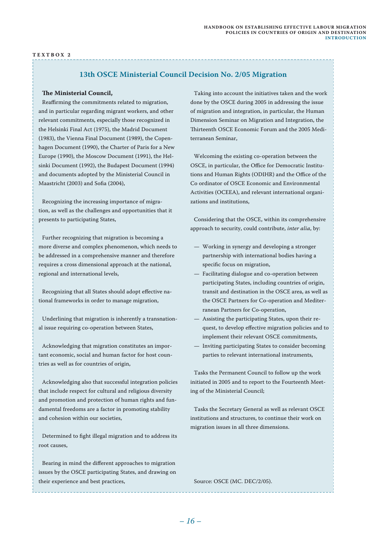#### **Te x t bo x 2**

#### **13th OSCE Ministerial Council Decision No. 2/05 Migration**

#### **The Ministerial Council,**

Reaffirming the commitments related to migration, and in particular regarding migrant workers, and other relevant commitments, especially those recognized in the Helsinki Final Act (1975), the Madrid Document (1983), the Vienna Final Document (1989), the Copenhagen Document (1990), the Charter of Paris for a New Europe (1990), the Moscow Document (1991), the Helsinki Document (1992), the Budapest Document (1994) and documents adopted by the Ministerial Council in Maastricht (2003) and Sofia (2004),

Recognizing the increasing importance of migration, as well as the challenges and opportunities that it presents to participating States,

Further recognizing that migration is becoming a more diverse and complex phenomenon, which needs to be addressed in a comprehensive manner and therefore requires a cross dimensional approach at the national, regional and international levels,

Recognizing that all States should adopt effective national frameworks in order to manage migration,

Underlining that migration is inherently a transnational issue requiring co-operation between States,

Acknowledging that migration constitutes an important economic, social and human factor for host countries as well as for countries of origin,

Acknowledging also that successful integration policies that include respect for cultural and religious diversity and promotion and protection of human rights and fundamental freedoms are a factor in promoting stability and cohesion within our societies,

Determined to fight illegal migration and to address its root causes,

Bearing in mind the different approaches to migration issues by the OSCE participating States, and drawing on their experience and best practices,

Taking into account the initiatives taken and the work done by the OSCE during 2005 in addressing the issue of migration and integration, in particular, the Human Dimension Seminar on Migration and Integration, the Thirteenth OSCE Economic Forum and the 2005 Mediterranean Seminar,

Welcoming the existing co-operation between the OSCE, in particular, the Office for Democratic Institutions and Human Rights (ODIHR) and the Office of the Co ordinator of OSCE Economic and Environmental Activities (OCEEA), and relevant international organizations and institutions,

Considering that the OSCE, within its comprehensive approach to security, could contribute, *inter alia*, by:

- Working in synergy and developing a stronger partnership with international bodies having a specific focus on migration,
- Facilitating dialogue and co-operation between participating States, including countries of origin, transit and destination in the OSCE area, as well as the OSCE Partners for Co-operation and Mediterranean Partners for Co-operation,
- Assisting the participating States, upon their request, to develop effective migration policies and to implement their relevant OSCE commitments,
- Inviting participating States to consider becoming parties to relevant international instruments,

Tasks the Permanent Council to follow up the work initiated in 2005 and to report to the Fourteenth Meeting of the Ministerial Council;

Tasks the Secretary General as well as relevant OSCE institutions and structures, to continue their work on migration issues in all three dimensions.

Source: OSCE (MC. DEC/2/05).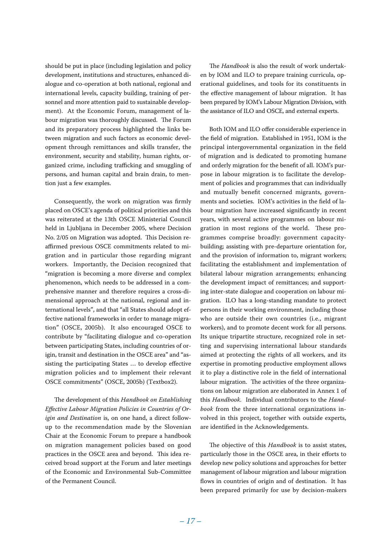should be put in place (including legislation and policy development, institutions and structures, enhanced dialogue and co-operation at both national, regional and international levels, capacity building, training of personnel and more attention paid to sustainable development). At the Economic Forum, management of labour migration was thoroughly discussed. The Forum and its preparatory process highlighted the links between migration and such factors as economic development through remittances and skills transfer, the environment, security and stability, human rights, organized crime, including trafficking and smuggling of persons, and human capital and brain drain, to mention just a few examples.

Consequently, the work on migration was firmly placed on OSCE's agenda of political priorities and this was reiterated at the 13th OSCE Ministerial Council held in Ljubljana in December 2005, where Decision No. 2/05 on Migration was adopted. This Decision reaffirmed previous OSCE commitments related to migration and in particular those regarding migrant workers. Importantly, the Decision recognized that "migration is becoming a more diverse and complex phenomenon, which needs to be addressed in a comprehensive manner and therefore requires a cross-dimensional approach at the national, regional and international levels", and that "all States should adopt effective national frameworks in order to manage migration" (OSCE, 2005b). It also encouraged OSCE to contribute by "facilitating dialogue and co-operation between participating States, including countries of origin, transit and destination in the OSCE area" and "assisting the participating States … to develop effective migration policies and to implement their relevant OSCE commitments" (OSCE, 2005b) (Textbox2).

The development of this *Handbook on Establishing Effective Labour Migration Policies in Countries of Origin and Destination* is, on one hand, a direct followup to the recommendation made by the Slovenian Chair at the Economic Forum to prepare a handbook on migration management policies based on good practices in the OSCE area and beyond. This idea received broad support at the Forum and later meetings of the Economic and Environmental Sub-Committee of the Permanent Council.

The *Handbook* is also the result of work undertaken by IOM and ILO to prepare training curricula, operational guidelines, and tools for its constituents in the effective management of labour migration. It has been prepared by IOM's Labour Migration Division, with the assistance of ILO and OSCE, and external experts.

Both IOM and ILO offer considerable experience in the field of migration. Established in 1951, IOM is the principal intergovernmental organization in the field of migration and is dedicated to promoting humane and orderly migration for the benefit of all. IOM's purpose in labour migration is to facilitate the development of policies and programmes that can individually and mutually benefit concerned migrants, governments and societies. IOM's activities in the field of labour migration have increased significantly in recent years, with several active programmes on labour migration in most regions of the world. These programmes comprise broadly: government capacitybuilding; assisting with pre-departure orientation for, and the provision of information to, migrant workers; facilitating the establishment and implementation of bilateral labour migration arrangements; enhancing the development impact of remittances; and supporting inter-state dialogue and cooperation on labour migration. ILO has a long-standing mandate to protect persons in their working environment, including those who are outside their own countries (i.e., migrant workers), and to promote decent work for all persons. Its unique tripartite structure, recognized role in setting and supervising international labour standards aimed at protecting the rights of all workers, and its expertise in promoting productive employment allows it to play a distinctive role in the field of international labour migration. The activities of the three organizations on labour migration are elaborated in Annex 1 of this *Handbook*. Individual contributors to the *Handbook* from the three international organizations involved in this project, together with outside experts, are identified in the Acknowledgements.

The objective of this *Handbook* is to assist states, particularly those in the OSCE area, in their efforts to develop new policy solutions and approaches for better management of labour migration and labour migration flows in countries of origin and of destination. It has been prepared primarily for use by decision-makers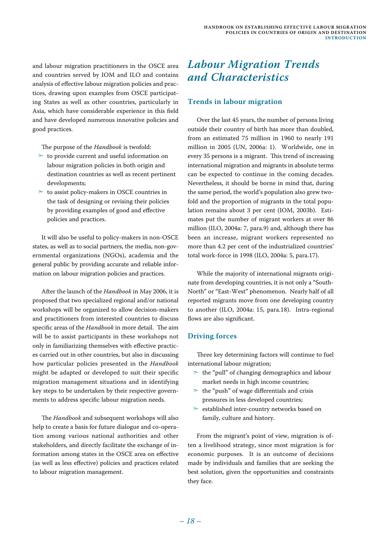and labour migration practitioners in the OSCE area and countries served by IOM and ILO and contains analysis of effective labour migration policies and practices, drawing upon examples from OSCE participating States as well as other countries, particularly in Asia, which have considerable experience in this field and have developed numerous innovative policies and good practices.

The purpose of the *Handbook* is twofold:

- ➣ to provide current and useful information on labour migration policies in both origin and destination countries as well as recent pertinent developments;
- $\geq$  to assist policy-makers in OSCE countries in the task of designing or revising their policies by providing examples of good and effective policies and practices.

It will also be useful to policy-makers in non-OSCE states, as well as to social partners, the media, non-governmental organizations (NGOs), academia and the general public by providing accurate and reliable information on labour migration policies and practices.

After the launch of the *Handbook* in May 2006, it is proposed that two specialized regional and/or national workshops will be organized to allow decision-makers and practitioners from interested countries to discuss specific areas of the *Handbook* in more detail. The aim will be to assist participants in these workshops not only in familiarizing themselves with effective practices carried out in other countries, but also in discussing how particular policies presented in the *Handbook* might be adapted or developed to suit their specific migration management situations and in identifying key steps to be undertaken by their respective governments to address specific labour migration needs.

The *Handbook* and subsequent workshops will also help to create a basis for future dialogue and co-operation among various national authorities and other stakeholders, and directly facilitate the exchange of information among states in the OSCE area on effective (as well as less effective) policies and practices related to labour migration management.

#### *Labour Migration Trends and Characteristics*

#### **Trends in labour migration**

Over the last 45 years, the number of persons living outside their country of birth has more than doubled, from an estimated 75 million in 1960 to nearly 191 million in 2005 (UN, 2006a: 1). Worldwide, one in every 35 persons is a migrant. This trend of increasing international migration and migrants in absolute terms can be expected to continue in the coming decades. Nevertheless, it should be borne in mind that, during the same period, the world's population also grew twofold and the proportion of migrants in the total population remains about 3 per cent (IOM, 2003b). Estimates put the number of migrant workers at over 86 million (ILO, 2004a: 7, para.9) and, although there has been an increase, migrant workers represented no more than 4.2 per cent of the industrialized countries' total work-force in 1998 (ILO, 2004a: 5, para.17).

While the majority of international migrants originate from developing countries, it is not only a "South-North" or "East-West" phenomenon. Nearly half of all reported migrants move from one developing country to another (ILO, 2004a: 15, para.18). Intra-regional flows are also significant.

#### **Driving forces**

Three key determining factors will continue to fuel international labour migration;

- $\geq$  the "pull" of changing demographics and labour market needs in high income countries;
- $\ge$  the "push" of wage differentials and crisis pressures in less developed countries;
- ➣ established inter-country networks based on family, culture and history.

From the migrant's point of view, migration is often a livelihood strategy, since most migration is for economic purposes. It is an outcome of decisions made by individuals and families that are seeking the best solution, given the opportunities and constraints they face.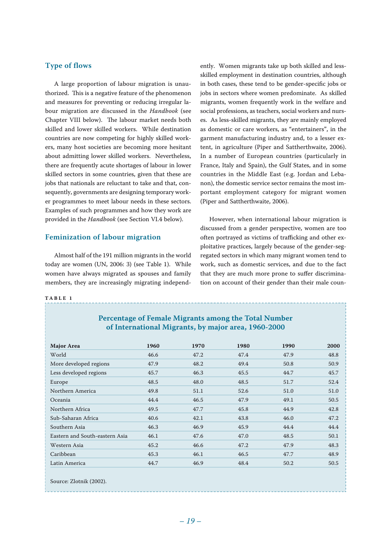#### **Type of flows**

A large proportion of labour migration is unauthorized. This is a negative feature of the phenomenon and measures for preventing or reducing irregular labour migration are discussed in the *Handbook* (see Chapter VIII below). The labour market needs both skilled and lower skilled workers. While destination countries are now competing for highly skilled workers, many host societies are becoming more hesitant about admitting lower skilled workers. Nevertheless, there are frequently acute shortages of labour in lower skilled sectors in some countries, given that these are jobs that nationals are reluctant to take and that, consequently, governments are designing temporary worker programmes to meet labour needs in these sectors. Examples of such programmes and how they work are provided in the *Handbook* (see Section VI.4 below).

#### **Feminization of labour migration**

Almost half of the 191 million migrants in the world today are women (UN, 2006: 3) (see Table 1). While women have always migrated as spouses and family members, they are increasingly migrating independently. Women migrants take up both skilled and lessskilled employment in destination countries, although in both cases, these tend to be gender-specific jobs or jobs in sectors where women predominate. As skilled migrants, women frequently work in the welfare and social professions, as teachers, social workers and nurses. As less-skilled migrants, they are mainly employed as domestic or care workers, as "entertainers", in the garment manufacturing industry and, to a lesser extent, in agriculture (Piper and Sattherthwaite, 2006). In a number of European countries (particularly in France, Italy and Spain), the Gulf States, and in some countries in the Middle East (e.g. Jordan and Lebanon), the domestic service sector remains the most important employment category for migrant women (Piper and Sattherthwaite, 2006).

However, when international labour migration is discussed from a gender perspective, women are too often portrayed as victims of trafficking and other exploitative practices, largely because of the gender-segregated sectors in which many migrant women tend to work, such as domestic services, and due to the fact that they are much more prone to suffer discrimination on account of their gender than their male coun-

#### **T a ble 1**

| Percentage of Female Migrants among the Total Number |
|------------------------------------------------------|
| of International Migrants, by major area, 1960-2000  |

| <b>Major Area</b>              | 1960 | 1970 | 1980 | 1990 | 2000 |
|--------------------------------|------|------|------|------|------|
| World                          | 46.6 | 47.2 | 47.4 | 47.9 | 48.8 |
| More developed regions         | 47.9 | 48.2 | 49.4 | 50.8 | 50.9 |
| Less developed regions         | 45.7 | 46.3 | 45.5 | 44.7 | 45.7 |
| Europe                         | 48.5 | 48.0 | 48.5 | 51.7 | 52.4 |
| Northern America               | 49.8 | 51.1 | 52.6 | 51.0 | 51.0 |
| Oceania                        | 44.4 | 46.5 | 47.9 | 49.1 | 50.5 |
| Northern Africa                | 49.5 | 47.7 | 45.8 | 44.9 | 42.8 |
| Sub-Saharan Africa             | 40.6 | 42.1 | 43.8 | 46.0 | 47.2 |
| Southern Asia                  | 46.3 | 46.9 | 45.9 | 44.4 | 44.4 |
| Eastern and South-eastern Asia | 46.1 | 47.6 | 47.0 | 48.5 | 50.1 |
| Western Asia                   | 45.2 | 46.6 | 47.2 | 47.9 | 48.3 |
| Caribbean                      | 45.3 | 46.1 | 46.5 | 47.7 | 48.9 |
| Latin America                  | 44.7 | 46.9 | 48.4 | 50.2 | 50.5 |

Source: Zlotnik (2002).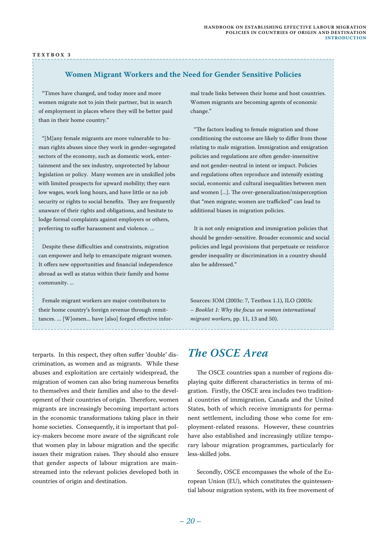#### **Te x t bo x 3**

#### **Women Migrant Workers and the Need for Gender Sensitive Policies**

"Times have changed, and today more and more women migrate not to join their partner, but in search of employment in places where they will be better paid than in their home country."

"[M]any female migrants are more vulnerable to human rights abuses since they work in gender-segregated sectors of the economy, such as domestic work, entertainment and the sex industry, unprotected by labour legislation or policy. Many women are in unskilled jobs with limited prospects for upward mobility; they earn low wages, work long hours, and have little or no job security or rights to social benefits. They are frequently unaware of their rights and obligations, and hesitate to lodge formal complaints against employers or others, preferring to suffer harassment and violence. ...

Despite these difficulties and constraints, migration can empower and help to emancipate migrant women. It offers new opportunities and financial independence abroad as well as status within their family and home community. ...

Female migrant workers are major contributors to their home country's foreign revenue through remittances. ... [W]omen... have [also] forged effective infor-

terparts. In this respect, they often suffer 'double' discrimination, as women and as migrants. While these abuses and exploitation are certainly widespread, the migration of women can also bring numerous benefits to themselves and their families and also to the development of their countries of origin. Therefore, women migrants are increasingly becoming important actors in the economic transformations taking place in their home societies. Consequently, it is important that policy-makers become more aware of the significant role that women play in labour migration and the specific issues their migration raises. They should also ensure that gender aspects of labour migration are mainstreamed into the relevant policies developed both in countries of origin and destination.

mal trade links between their home and host countries. Women migrants are becoming agents of economic change."

"The factors leading to female migration and those conditioning the outcome are likely to differ from those relating to male migration. Immigration and emigration policies and regulations are often gender-insensitive and not gender-neutral in intent or impact. Policies and regulations often reproduce and intensify existing social, economic and cultural inequalities between men and women [...]. The over-generalization/misperception that "men migrate; women are trafficked" can lead to additional biases in migration policies.

It is not only emigration and immigration policies that should be gender-sensitive. Broader economic and social policies and legal provisions that perpetuate or reinforce gender inequality or discrimination in a country should also be addressed."

Sources: IOM (2003c: 7, Textbox 1.1), ILO (2003c – *Booklet 1: Why the focus on women international migrant workers*, pp. 11, 13 and 50).

#### *The OSCE Area*

The OSCE countries span a number of regions displaying quite different characteristics in terms of migration. Firstly, the OSCE area includes two traditional countries of immigration, Canada and the United States, both of which receive immigrants for permanent settlement, including those who come for employment-related reasons. However, these countries have also established and increasingly utilize temporary labour migration programmes, particularly for less-skilled jobs.

Secondly, OSCE encompasses the whole of the European Union (EU), which constitutes the quintessential labour migration system, with its free movement of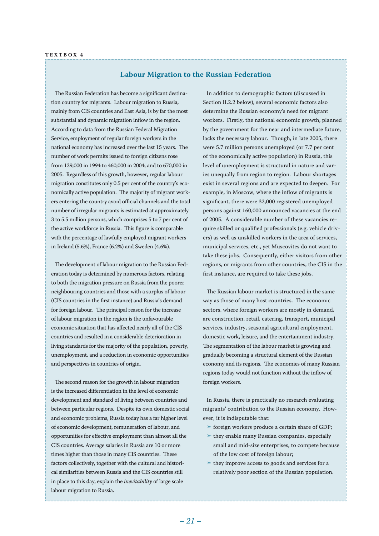#### **Labour Migration to the Russian Federation**

The Russian Federation has become a significant destination country for migrants. Labour migration to Russia, mainly from CIS countries and East Asia, is by far the most substantial and dynamic migration inflow in the region. According to data from the Russian Federal Migration Service, employment of regular foreign workers in the national economy has increased over the last 15 years. The number of work permits issued to foreign citizens rose from 129,000 in 1994 to 460,000 in 2004, and to 670,000 in 2005. Regardless of this growth, however, regular labour migration constitutes only 0.5 per cent of the country's economically active population. The majority of migrant workers entering the country avoid official channels and the total number of irregular migrants is estimated at approximately 3 to 5.5 million persons, which comprises 5 to 7 per cent of the active workforce in Russia. This figure is comparable with the percentage of lawfully employed migrant workers in Ireland (5.6%), France (6.2%) and Sweden (4.6%).

The development of labour migration to the Russian Federation today is determined by numerous factors, relating to both the migration pressure on Russia from the poorer neighbouring countries and those with a surplus of labour (CIS countries in the first instance) and Russia's demand for foreign labour. The principal reason for the increase of labour migration in the region is the unfavourable economic situation that has affected nearly all of the CIS countries and resulted in a considerable deterioration in living standards for the majority of the population, poverty, unemployment, and a reduction in economic opportunities and perspectives in countries of origin.

The second reason for the growth in labour migration is the increased differentiation in the level of economic development and standard of living between countries and between particular regions. Despite its own domestic social and economic problems, Russia today has a far higher level of economic development, remuneration of labour, and opportunities for effective employment than almost all the CIS countries. Average salaries in Russia are 10 or more times higher than those in many CIS countries. These factors collectively, together with the cultural and historical similarities between Russia and the CIS countries still in place to this day, explain the *inevitability* of large scale labour migration to Russia.

In addition to demographic factors (discussed in Section II.2.2 below), several economic factors also determine the Russian economy's need for migrant workers. Firstly, the national economic growth, planned by the government for the near and intermediate future, lacks the necessary labour. Though, in late 2005, there were 5.7 million persons unemployed (or 7.7 per cent of the economically active population) in Russia, this level of unemployment is structural in nature and varies unequally from region to region. Labour shortages exist in several regions and are expected to deepen. For example, in Moscow, where the inflow of migrants is significant, there were 32,000 registered unemployed persons against 160,000 announced vacancies at the end of 2005. A considerable number of these vacancies require skilled or qualified professionals (e.g. vehicle drivers) as well as unskilled workers in the area of services, municipal services, etc., yet Muscovites do not want to take these jobs. Consequently, either visitors from other regions, or migrants from other countries, the CIS in the first instance, are required to take these jobs.

The Russian labour market is structured in the same way as those of many host countries. The economic sectors, where foreign workers are mostly in demand, are construction, retail, catering, transport, municipal services, industry, seasonal agricultural employment, domestic work, leisure, and the entertainment industry. The segmentation of the labour market is growing and gradually becoming a structural element of the Russian economy and its regions. The economies of many Russian regions today would not function without the inflow of foreign workers.

In Russia, there is practically no research evaluating migrants' contribution to the Russian economy. However, it is indisputable that:

- ➣ foreign workers produce a certain share of GDP;
- $\geq$  they enable many Russian companies, especially small and mid-size enterprises, to compete because of the low cost of foreign labour;
- ➣ they improve access to goods and services for a relatively poor section of the Russian population.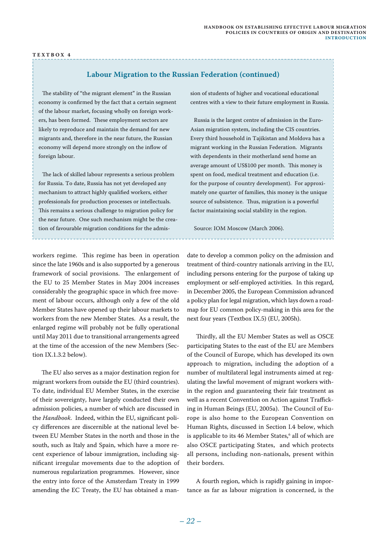#### $T F Y T B O Y 4$

#### **Labour Migration to the Russian Federation (continued)**

The stability of "the migrant element" in the Russian economy is confirmed by the fact that a certain segment of the labour market, focusing wholly on foreign workers, has been formed. These employment sectors are likely to reproduce and maintain the demand for new migrants and, therefore in the near future, the Russian economy will depend more strongly on the inflow of foreign labour.

The lack of skilled labour represents a serious problem for Russia. To date, Russia has not yet developed any mechanism to attract highly qualified workers, either professionals for production processes or intellectuals. This remains a serious challenge to migration policy for the near future. One such mechanism might be the creation of favourable migration conditions for the admis-

workers regime. This regime has been in operation since the late 1960s and is also supported by a generous framework of social provisions. The enlargement of the EU to 25 Member States in May 2004 increases considerably the geographic space in which free movement of labour occurs, although only a few of the old Member States have opened up their labour markets to workers from the new Member States. As a result, the enlarged regime will probably not be fully operational until May 2011 due to transitional arrangements agreed at the time of the accession of the new Members (Section IX.1.3.2 below).

The EU also serves as a major destination region for migrant workers from outside the EU (third countries). To date, individual EU Member States, in the exercise of their sovereignty, have largely conducted their own admission policies, a number of which are discussed in the *Handbook*. Indeed, within the EU, significant policy differences are discernible at the national level between EU Member States in the north and those in the south, such as Italy and Spain, which have a more recent experience of labour immigration, including significant irregular movements due to the adoption of numerous regularization programmes. However, since the entry into force of the Amsterdam Treaty in 1999 amending the EC Treaty, the EU has obtained a mansion of students of higher and vocational educational centres with a view to their future employment in Russia.

Russia is the largest centre of admission in the Euro-Asian migration system, including the CIS countries. Every third household in Tajikistan and Moldova has a migrant working in the Russian Federation. Migrants with dependents in their motherland send home an average amount of US\$100 per month. This money is spent on food, medical treatment and education (i.e. for the purpose of country development). For approximately one quarter of families, this money is the unique source of subsistence. Thus, migration is a powerful factor maintaining social stability in the region.

Source: IOM Moscow (March 2006).

date to develop a common policy on the admission and treatment of third-country nationals arriving in the EU, including persons entering for the purpose of taking up employment or self-employed activities. In this regard, in December 2005, the European Commission advanced a policy plan for legal migration, which lays down a roadmap for EU common policy-making in this area for the next four years (Textbox IX.5) (EU, 2005h).

Thirdly, all the EU Member States as well as OSCE participating States to the east of the EU are Members of the Council of Europe, which has developed its own approach to migration, including the adoption of a number of multilateral legal instruments aimed at regulating the lawful movement of migrant workers within the region and guaranteeing their fair treatment as well as a recent Convention on Action against Trafficking in Human Beings (EU, 2005a). The Council of Europe is also home to the European Convention on Human Rights, discussed in Section I.4 below, which is applicable to its 46 Member States,<sup>6</sup> all of which are also OSCE participating States, and which protects all persons, including non-nationals, present within their borders.

A fourth region, which is rapidly gaining in importance as far as labour migration is concerned, is the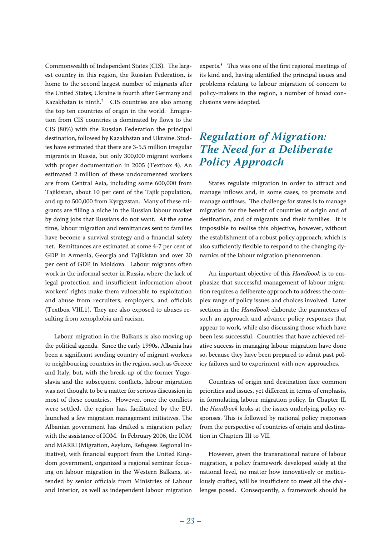Commonwealth of Independent States (CIS). The largest country in this region, the Russian Federation, is home to the second largest number of migrants after the United States; Ukraine is fourth after Germany and Kazakhstan is ninth.7 CIS countries are also among the top ten countries of origin in the world. Emigration from CIS countries is dominated by flows to the CIS (80%) with the Russian Federation the principal destination, followed by Kazakhstan and Ukraine. Studies have estimated that there are 3-5.5 million irregular migrants in Russia, but only 300,000 migrant workers with proper documentation in 2005 (Textbox 4). An estimated 2 million of these undocumented workers are from Central Asia, including some 600,000 from Tajikistan, about 10 per cent of the Tajik population, and up to 500,000 from Kyrgyzstan. Many of these migrants are filling a niche in the Russian labour market by doing jobs that Russians do not want. At the same time, labour migration and remittances sent to families have become a survival strategy and a financial safety net. Remittances are estimated at some 4-7 per cent of GDP in Armenia, Georgia and Tajikistan and over 20 per cent of GDP in Moldova. Labour migrants often work in the informal sector in Russia, where the lack of legal protection and insufficient information about workers' rights make them vulnerable to exploitation and abuse from recruiters, employers, and officials (Textbox VIII.1). They are also exposed to abuses resulting from xenophobia and racism.

Labour migration in the Balkans is also moving up the political agenda. Since the early 1990s, Albania has been a significant sending country of migrant workers to neighbouring countries in the region, such as Greece and Italy, but, with the break-up of the former Yugoslavia and the subsequent conflicts, labour migration was not thought to be a matter for serious discussion in most of these countries. However, once the conflicts were settled, the region has, facilitated by the EU, launched a few migration management initiatives. The Albanian government has drafted a migration policy with the assistance of IOM. In February 2006, the IOM and MARRI (Migration, Asylum, Refugees Regional Initiative), with financial support from the United Kingdom government, organized a regional seminar focusing on labour migration in the Western Balkans, attended by senior officials from Ministries of Labour and Interior, as well as independent labour migration

experts.8 This was one of the first regional meetings of its kind and, having identified the principal issues and problems relating to labour migration of concern to policy-makers in the region, a number of broad conclusions were adopted.

#### *Regulation of Migration: The Need for a Deliberate Policy Approach*

States regulate migration in order to attract and manage inflows and, in some cases, to promote and manage outflows. The challenge for states is to manage migration for the benefit of countries of origin and of destination, and of migrants and their families. It is impossible to realise this objective, however, without the establishment of a robust policy approach, which is also sufficiently flexible to respond to the changing dynamics of the labour migration phenomenon.

An important objective of this *Handbook* is to emphasize that successful management of labour migration requires a deliberate approach to address the complex range of policy issues and choices involved. Later sections in the *Handbook* elaborate the parameters of such an approach and advance policy responses that appear to work, while also discussing those which have been less successful. Countries that have achieved relative success in managing labour migration have done so, because they have been prepared to admit past policy failures and to experiment with new approaches.

Countries of origin and destination face common priorities and issues, yet different in terms of emphasis, in formulating labour migration policy. In Chapter II, the *Handbook* looks at the issues underlying policy responses. This is followed by national policy responses from the perspective of countries of origin and destination in Chapters III to VII.

However, given the transnational nature of labour migration, a policy framework developed solely at the national level, no matter how innovatively or meticulously crafted, will be insufficient to meet all the challenges posed. Consequently, a framework should be